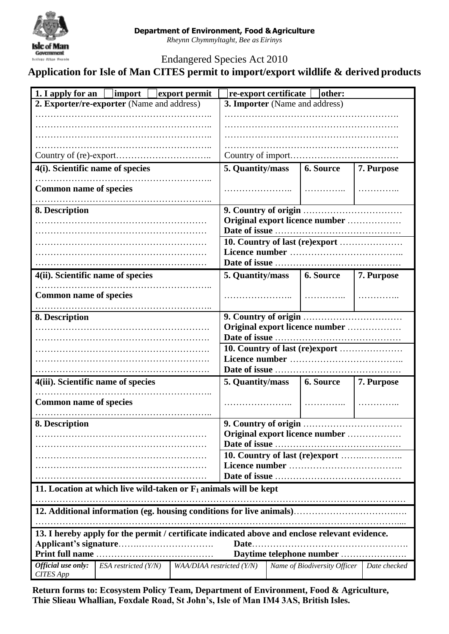

*Rheynn Chymmyltaght, Bee as Eirinys*

Endangered Species Act 2010

**Application for Isle of Man CITES permit to import/export wildlife & derived products**

| 1. I apply for an $\Box$ import $\Box$ export permit                                           |                      |                                | re-export certificate [<br> other: |  |                              |              |  |
|------------------------------------------------------------------------------------------------|----------------------|--------------------------------|------------------------------------|--|------------------------------|--------------|--|
| 2. Exporter/re-exporter (Name and address)                                                     |                      |                                | 3. Importer (Name and address)     |  |                              |              |  |
|                                                                                                |                      |                                |                                    |  |                              |              |  |
|                                                                                                |                      |                                |                                    |  |                              |              |  |
|                                                                                                |                      |                                |                                    |  |                              |              |  |
|                                                                                                |                      |                                |                                    |  |                              |              |  |
|                                                                                                |                      |                                |                                    |  |                              |              |  |
| 4(i). Scientific name of species                                                               |                      |                                | 5. Quantity/mass                   |  | <b>6. Source</b>             | 7. Purpose   |  |
| <b>Common name of species</b>                                                                  |                      |                                |                                    |  |                              |              |  |
| 8. Description                                                                                 |                      |                                |                                    |  |                              |              |  |
|                                                                                                |                      |                                | Original export licence number     |  |                              |              |  |
|                                                                                                |                      |                                |                                    |  |                              |              |  |
|                                                                                                |                      | 10. Country of last (re)export |                                    |  |                              |              |  |
|                                                                                                |                      |                                |                                    |  |                              |              |  |
|                                                                                                |                      |                                |                                    |  |                              |              |  |
| 4(ii). Scientific name of species                                                              |                      |                                |                                    |  | 5. Quantity/mass 6. Source   | 7. Purpose   |  |
| <b>Common name of species</b>                                                                  |                      |                                |                                    |  |                              |              |  |
| 8. Description                                                                                 |                      |                                |                                    |  |                              |              |  |
|                                                                                                |                      |                                | Original export licence number     |  |                              |              |  |
|                                                                                                |                      |                                |                                    |  |                              |              |  |
|                                                                                                |                      |                                | 10. Country of last (re)export     |  |                              |              |  |
|                                                                                                |                      |                                |                                    |  |                              |              |  |
|                                                                                                |                      |                                |                                    |  |                              |              |  |
| 4(iii). Scientific name of species                                                             |                      |                                | 5. Quantity/mass                   |  | <b>6. Source</b>             | 7. Purpose   |  |
| <b>Common name of species</b>                                                                  |                      |                                |                                    |  |                              |              |  |
| 8. Description                                                                                 |                      |                                |                                    |  |                              |              |  |
|                                                                                                |                      |                                | Original export licence number     |  |                              |              |  |
|                                                                                                |                      |                                |                                    |  |                              |              |  |
|                                                                                                |                      |                                |                                    |  |                              |              |  |
|                                                                                                |                      |                                |                                    |  |                              |              |  |
|                                                                                                |                      |                                |                                    |  |                              |              |  |
| 11. Location at which live wild-taken or $F_1$ animals will be kept                            |                      |                                |                                    |  |                              |              |  |
|                                                                                                |                      |                                |                                    |  |                              |              |  |
|                                                                                                |                      |                                |                                    |  |                              |              |  |
| 13. I hereby apply for the permit / certificate indicated above and enclose relevant evidence. |                      |                                |                                    |  |                              |              |  |
| Date.                                                                                          |                      |                                |                                    |  |                              |              |  |
| <b>Print full name</b><br>Daytime telephone number                                             |                      |                                |                                    |  |                              |              |  |
| Official use only:<br><b>CITES App</b>                                                         | ESA restricted (Y/N) | WAA/DIAA restricted (Y/N)      |                                    |  | Name of Biodiversity Officer | Date checked |  |

**Return forms to: Ecosystem Policy Team, Department of Environment, Food & Agriculture, Thie Slieau Whallian, Foxdale Road, St John's, Isle of Man IM4 3AS, British Isles.**